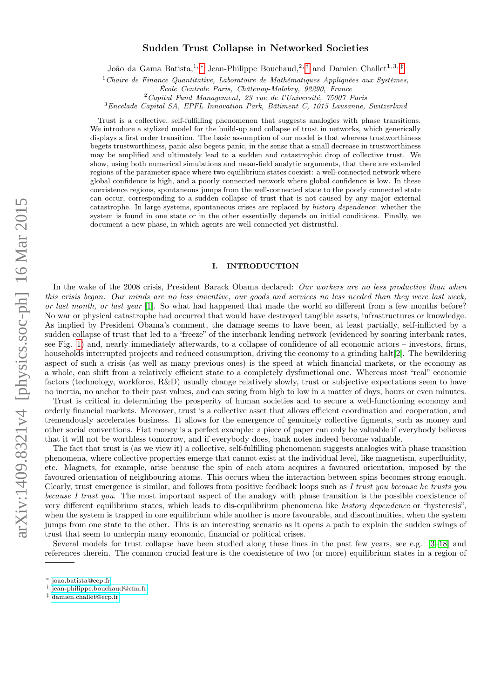# $arXiv:1409.8321v4$  [physics.soc-ph] 16 Mar 2015 arXiv:1409.8321v4 [physics.soc-ph] 16 Mar 2015

# Sudden Trust Collapse in Networked Societies

João da Gama Batista,<sup>1, [∗](#page-0-0)</sup> Jean-Philippe Bouchaud,<sup>2,[†](#page-0-1)</sup> and Damien Challet<sup>1,3,[‡](#page-0-2)</sup>

 $1$ Chaire de Finance Quantitative, Laboratoire de Mathématiques Appliquées aux Systèmes,

 $2$ Capital Fund Management, 23 rue de l'Université, 75007 Paris

<sup>3</sup>Encelade Capital SA, EPFL Innovation Park, Bâtiment C, 1015 Lausanne, Switzerland

Trust is a collective, self-fulfilling phenomenon that suggests analogies with phase transitions. We introduce a stylized model for the build-up and collapse of trust in networks, which generically displays a first order transition. The basic assumption of our model is that whereas trustworthiness begets trustworthiness, panic also begets panic, in the sense that a small decrease in trustworthiness may be amplified and ultimately lead to a sudden and catastrophic drop of collective trust. We show, using both numerical simulations and mean-field analytic arguments, that there are extended regions of the parameter space where two equilibrium states coexist: a well-connected network where global confidence is high, and a poorly connected network where global confidence is low. In these coexistence regions, spontaneous jumps from the well-connected state to the poorly connected state can occur, corresponding to a sudden collapse of trust that is not caused by any major external catastrophe. In large systems, spontaneous crises are replaced by history dependence: whether the system is found in one state or in the other essentially depends on initial conditions. Finally, we document a new phase, in which agents are well connected yet distrustful.

# I. INTRODUCTION

In the wake of the 2008 crisis, President Barack Obama declared: Our workers are no less productive than when this crisis began. Our minds are no less inventive, our goods and services no less needed than they were last week, or last month, or last year [\[1\]](#page-13-0). So what had happened that made the world so different from a few months before? No war or physical catastrophe had occurred that would have destroyed tangible assets, infrastructures or knowledge. As implied by President Obama's comment, the damage seems to have been, at least partially, self-inflicted by a sudden collapse of trust that led to a "freeze" of the interbank lending network (evidenced by soaring interbank rates, see Fig. [1\)](#page-1-0) and, nearly immediately afterwards, to a collapse of confidence of all economic actors – investors, firms, households interrupted projects and reduced consumption, driving the economy to a grinding halt[\[2\]](#page-13-1). The bewildering aspect of such a crisis (as well as many previous ones) is the speed at which financial markets, or the economy as a whole, can shift from a relatively efficient state to a completely dysfunctional one. Whereas most "real" economic factors (technology, workforce, R&D) usually change relatively slowly, trust or subjective expectations seem to have no inertia, no anchor to their past values, and can swing from high to low in a matter of days, hours or even minutes.

Trust is critical in determining the prosperity of human societies and to secure a well-functioning economy and orderly financial markets. Moreover, trust is a collective asset that allows efficient coordination and cooperation, and tremendously accelerates business. It allows for the emergence of genuinely collective figments, such as money and other social conventions. Fiat money is a perfect example: a piece of paper can only be valuable if everybody believes that it will not be worthless tomorrow, and if everybody does, bank notes indeed become valuable.

The fact that trust is (as we view it) a collective, self-fulfilling phenomenon suggests analogies with phase transition phenomena, where collective properties emerge that cannot exist at the individual level, like magnetism, superfluidity, etc. Magnets, for example, arise because the spin of each atom acquires a favoured orientation, imposed by the favoured orientation of neighbouring atoms. This occurs when the interaction between spins becomes strong enough. Clearly, trust emergence is similar, and follows from positive feedback loops such as I trust you because he trusts you because I trust you. The most important aspect of the analogy with phase transition is the possible coexistence of very different equilibrium states, which leads to dis-equilibrium phenomena like history dependence or "hysteresis", when the system is trapped in one equilibrium while another is more favourable, and discontinuities, when the system jumps from one state to the other. This is an interesting scenario as it opens a path to explain the sudden swings of trust that seem to underpin many economic, financial or political crises.

Several models for trust collapse have been studied along these lines in the past few years, see e.g. [\[3–](#page-13-2)[18\]](#page-14-0) and references therein. The common crucial feature is the coexistence of two (or more) equilibrium states in a region of

École Centrale Paris, Châtenay-Malabry, 92290, France

<span id="page-0-0"></span><sup>∗</sup> [joao.batista@ecp.fr](mailto:joao.batista@ecp.fr)

<span id="page-0-1"></span><sup>†</sup> [jean-philippe.bouchaud@cfm.fr](mailto:jean-philippe.bouchaud@cfm.fr)

<span id="page-0-2"></span><sup>‡</sup> [damien.challet@ecp.fr](mailto:damien.challet@ecp.fr)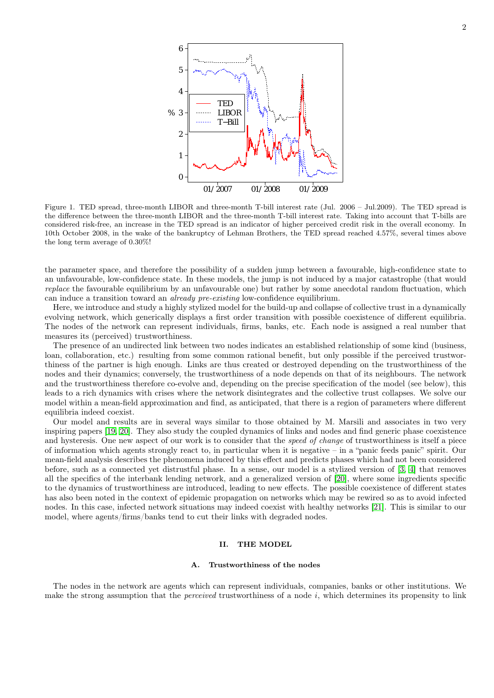

<span id="page-1-0"></span>Figure 1. TED spread, three-month LIBOR and three-month T-bill interest rate (Jul. 2006 – Jul.2009). The TED spread is the difference between the three-month LIBOR and the three-month T-bill interest rate. Taking into account that T-bills are considered risk-free, an increase in the TED spread is an indicator of higher perceived credit risk in the overall economy. In 10th October 2008, in the wake of the bankruptcy of Lehman Brothers, the TED spread reached 4.57%, several times above the long term average of 0.30%!

the parameter space, and therefore the possibility of a sudden jump between a favourable, high-confidence state to an unfavourable, low-confidence state. In these models, the jump is not induced by a major catastrophe (that would replace the favourable equilibrium by an unfavourable one) but rather by some anecdotal random fluctuation, which can induce a transition toward an already pre-existing low-confidence equilibrium.

Here, we introduce and study a highly stylized model for the build-up and collapse of collective trust in a dynamically evolving network, which generically displays a first order transition with possible coexistence of different equilibria. The nodes of the network can represent individuals, firms, banks, etc. Each node is assigned a real number that measures its (perceived) trustworthiness.

The presence of an undirected link between two nodes indicates an established relationship of some kind (business, loan, collaboration, etc.) resulting from some common rational benefit, but only possible if the perceived trustworthiness of the partner is high enough. Links are thus created or destroyed depending on the trustworthiness of the nodes and their dynamics; conversely, the trustworthiness of a node depends on that of its neighbours. The network and the trustworthiness therefore co-evolve and, depending on the precise specification of the model (see below), this leads to a rich dynamics with crises where the network disintegrates and the collective trust collapses. We solve our model within a mean-field approximation and find, as anticipated, that there is a region of parameters where different equilibria indeed coexist.

Our model and results are in several ways similar to those obtained by M. Marsili and associates in two very inspiring papers [\[19,](#page-14-1) [20\]](#page-14-2). They also study the coupled dynamics of links and nodes and find generic phase coexistence and hysteresis. One new aspect of our work is to consider that the *speed of change* of trustworthiness is itself a piece of information which agents strongly react to, in particular when it is negative – in a "panic feeds panic" spirit. Our mean-field analysis describes the phenomena induced by this effect and predicts phases which had not been considered before, such as a connected yet distrustful phase. In a sense, our model is a stylized version of [\[3,](#page-13-2) [4\]](#page-13-3) that removes all the specifics of the interbank lending network, and a generalized version of [\[20\]](#page-14-2), where some ingredients specific to the dynamics of trustworthiness are introduced, leading to new effects. The possible coexistence of different states has also been noted in the context of epidemic propagation on networks which may be rewired so as to avoid infected nodes. In this case, infected network situations may indeed coexist with healthy networks [\[21\]](#page-14-3). This is similar to our model, where agents/firms/banks tend to cut their links with degraded nodes.

# II. THE MODEL

### A. Trustworthiness of the nodes

The nodes in the network are agents which can represent individuals, companies, banks or other institutions. We make the strong assumption that the *perceived* trustworthiness of a node i, which determines its propensity to link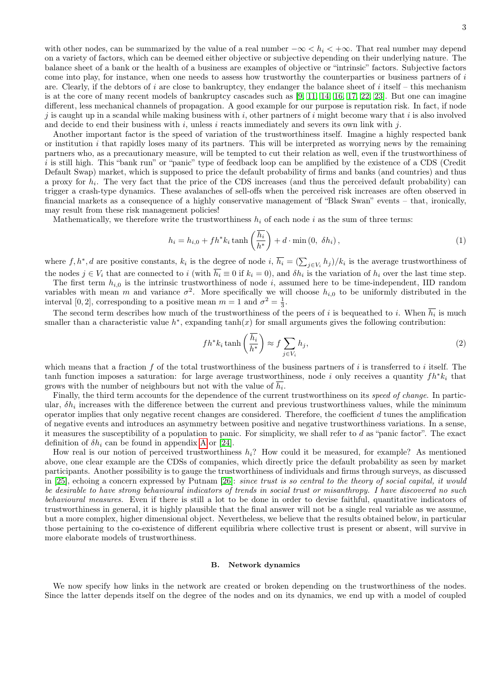with other nodes, can be summarized by the value of a real number  $-\infty < h_i < +\infty$ . That real number may depend on a variety of factors, which can be deemed either objective or subjective depending on their underlying nature. The balance sheet of a bank or the health of a business are examples of objective or "intrinsic" factors. Subjective factors come into play, for instance, when one needs to assess how trustworthy the counterparties or business partners of i are. Clearly, if the debtors of i are close to bankruptcy, they endanger the balance sheet of i itself – this mechanism is at the core of many recent models of bankruptcy cascades such as  $[9, 11, 14, 16, 17, 22, 23]$  $[9, 11, 14, 16, 17, 22, 23]$  $[9, 11, 14, 16, 17, 22, 23]$  $[9, 11, 14, 16, 17, 22, 23]$  $[9, 11, 14, 16, 17, 22, 23]$  $[9, 11, 14, 16, 17, 22, 23]$  $[9, 11, 14, 16, 17, 22, 23]$ . But one can imagine different, less mechanical channels of propagation. A good example for our purpose is reputation risk. In fact, if node i is caught up in a scandal while making business with i, other partners of i might become wary that i is also involved and decide to end their business with i, unless i reacts immediately and severs its own link with i.

Another important factor is the speed of variation of the trustworthiness itself. Imagine a highly respected bank or institution  $i$  that rapidly loses many of its partners. This will be interpreted as worrying news by the remaining partners who, as a precautionary measure, will be tempted to cut their relation as well, even if the trustworthiness of i is still high. This "bank run" or "panic" type of feedback loop can be amplified by the existence of a CDS (Credit Default Swap) market, which is supposed to price the default probability of firms and banks (and countries) and thus a proxy for  $h_i$ . The very fact that the price of the CDS increases (and thus the perceived default probability) can trigger a crash-type dynamics. These avalanches of sell-offs when the perceived risk increases are often observed in financial markets as a consequence of a highly conservative management of "Black Swan" events – that, ironically, may result from these risk management policies!

Mathematically, we therefore write the trustworthiness  $h_i$  of each node i as the sum of three terms:

<span id="page-2-0"></span>
$$
h_i = h_{i,0} + fh^*k_i \tanh\left(\frac{\overline{h_i}}{h^*}\right) + d \cdot \min(0, \ \delta h_i),\tag{1}
$$

where  $f, h^*, d$  are positive constants,  $k_i$  is the degree of node  $i, \overline{h_i} = (\sum_{j \in V_i} h_j)/k_i$  is the average trustworthiness of the nodes  $j \in V_i$  that are connected to i (with  $h_i \equiv 0$  if  $k_i = 0$ ), and  $\delta h_i$  is the variation of  $h_i$  over the last time step.

The first term  $h_{i,0}$  is the intrinsic trustworthiness of node i, assumed here to be time-independent, IID random variables with mean m and variance  $\sigma^2$ . More specifically we will choose  $h_{i,0}$  to be uniformly distributed in the interval [0, 2], corresponding to a positive mean  $m = 1$  and  $\sigma^2 = \frac{1}{3}$ .

The second term describes how much of the trustworthiness of the peers of i is bequeathed to i. When  $h_i$  is much smaller than a characteristic value  $h^*$ , expanding tanh $(x)$  for small arguments gives the following contribution:

$$
fh^*k_i \tanh\left(\frac{\overline{h_i}}{h^*}\right) \approx f \sum_{j \in V_i} h_j,\tag{2}
$$

which means that a fraction  $f$  of the total trustworthiness of the business partners of  $i$  is transferred to  $i$  itself. The tanh function imposes a saturation: for large average trustworthiness, node i only receives a quantity  $fh^*k_i$  that grows with the number of neighbours but not with the value of  $h_i$ .

Finally, the third term accounts for the dependence of the current trustworthiness on its speed of change. In particular,  $\delta h_i$  increases with the difference between the current and previous trustworthiness values, while the minimum operator implies that only negative recent changes are considered. Therefore, the coefficient  $d$  tunes the amplification of negative events and introduces an asymmetry between positive and negative trustworthiness variations. In a sense, it measures the susceptibility of a population to panic. For simplicity, we shall refer to  $d$  as "panic factor". The exact definition of  $\delta h_i$  can be found in appendix [A](#page-11-0) or [\[24\]](#page-14-8).

How real is our notion of perceived trustworthiness  $h_i$ ? How could it be measured, for example? As mentioned above, one clear example are the CDSs of companies, which directly price the default probability as seen by market participants. Another possibility is to gauge the trustworthiness of individuals and firms through surveys, as discussed in [\[25\]](#page-14-9), echoing a concern expressed by Putnam [\[26\]](#page-14-10): since trust is so central to the theory of social capital, it would be desirable to have strong behavioural indicators of trends in social trust or misanthropy. I have discovered no such behavioural measures. Even if there is still a lot to be done in order to devise faithful, quantitative indicators of trustworthiness in general, it is highly plausible that the final answer will not be a single real variable as we assume, but a more complex, higher dimensional object. Nevertheless, we believe that the results obtained below, in particular those pertaining to the co-existence of different equilibria where collective trust is present or absent, will survive in more elaborate models of trustworthiness.

# B. Network dynamics

We now specify how links in the network are created or broken depending on the trustworthiness of the nodes. Since the latter depends itself on the degree of the nodes and on its dynamics, we end up with a model of coupled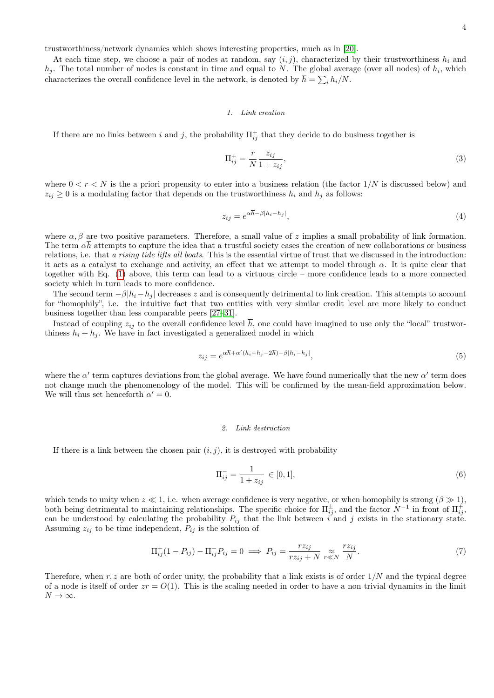trustworthiness/network dynamics which shows interesting properties, much as in [\[20\]](#page-14-2).

At each time step, we choose a pair of nodes at random, say  $(i, j)$ , characterized by their trustworthiness  $h_i$  and  $h_j$ . The total number of nodes is constant in time and equal to N. The global average (over all nodes) of  $h_i$ , which characterizes the overall confidence level in the network, is denoted by  $\overline{h} = \sum_i h_i/N$ .

### 1. Link creation

If there are no links between i and j, the probability  $\Pi_{ij}^+$  that they decide to do business together is

$$
\Pi_{ij}^+ = \frac{r}{N} \frac{z_{ij}}{1 + z_{ij}},\tag{3}
$$

where  $0 < r < N$  is the a priori propensity to enter into a business relation (the factor  $1/N$  is discussed below) and  $z_{ij} \geq 0$  is a modulating factor that depends on the trustworthiness  $h_i$  and  $h_j$  as follows:

<span id="page-3-0"></span>
$$
z_{ij} = e^{\alpha \overline{h} - \beta |h_i - h_j|},\tag{4}
$$

where  $\alpha, \beta$  are two positive parameters. Therefore, a small value of z implies a small probability of link formation. The term  $\alpha\hbar$  attempts to capture the idea that a trustful society eases the creation of new collaborations or business relations, i.e. that a rising tide lifts all boats. This is the essential virtue of trust that we discussed in the introduction: it acts as a catalyst to exchange and activity, an effect that we attempt to model through  $\alpha$ . It is quite clear that together with Eq. [\(1\)](#page-2-0) above, this term can lead to a virtuous circle – more confidence leads to a more connected society which in turn leads to more confidence.

The second term  $-\beta|h_i - h_j|$  decreases z and is consequently detrimental to link creation. This attempts to account for "homophily", i.e. the intuitive fact that two entities with very similar credit level are more likely to conduct business together than less comparable peers [\[27–](#page-14-11)[31\]](#page-14-12).

Instead of coupling  $z_{ij}$  to the overall confidence level  $\bar{h}$ , one could have imagined to use only the "local" trustworthiness  $h_i + h_j$ . We have in fact investigated a generalized model in which

$$
z_{ij} = e^{\alpha \overline{h} + \alpha'(h_i + h_j - 2\overline{h}) - \beta |h_i - h_j|},\tag{5}
$$

where the  $\alpha'$  term captures deviations from the global average. We have found numerically that the new  $\alpha'$  term does not change much the phenomenology of the model. This will be confirmed by the mean-field approximation below. We will thus set henceforth  $\alpha' = 0$ .

### 2. Link destruction

If there is a link between the chosen pair  $(i, j)$ , it is destroyed with probability

$$
\Pi_{ij}^- = \frac{1}{1 + z_{ij}} \in [0, 1],\tag{6}
$$

which tends to unity when  $z \ll 1$ , i.e. when average confidence is very negative, or when homophily is strong  $(\beta \gg 1)$ , both being detrimental to maintaining relationships. The specific choice for  $\Pi_{ij}^{\pm}$ , and the factor  $N^{-1}$  in front of  $\Pi_{ij}^{\pm}$ . can be understood by calculating the probability  $P_{ij}$  that the link between i and j exists in the stationary state. Assuming  $z_{ij}$  to be time independent,  $P_{ij}$  is the solution of

$$
\Pi_{ij}^+(1 - P_{ij}) - \Pi_{ij}^- P_{ij} = 0 \implies P_{ij} = \frac{r z_{ij}}{r z_{ij} + N} \underset{r \ll N}{\approx} \frac{r z_{ij}}{N}.
$$
\n
$$
(7)
$$

Therefore, when r, z are both of order unity, the probability that a link exists is of order  $1/N$  and the typical degree of a node is itself of order  $z = O(1)$ . This is the scaling needed in order to have a non trivial dynamics in the limit  $N \to \infty$ .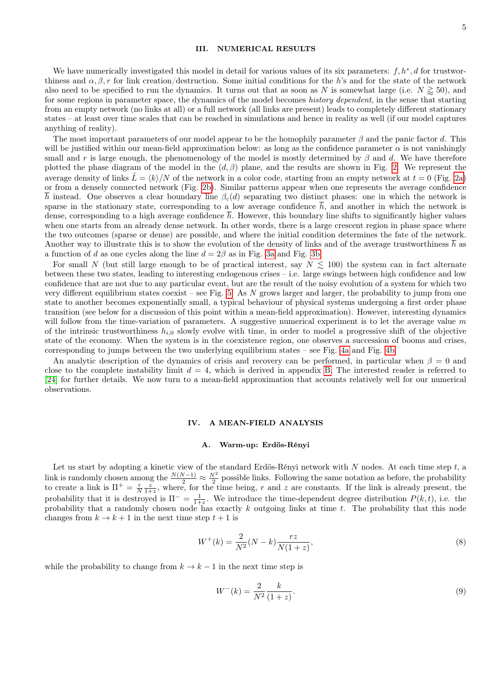## III. NUMERICAL RESULTS

We have numerically investigated this model in detail for various values of its six parameters:  $f, h^*, d$  for trustworthiness and  $\alpha, \beta, r$  for link creation/destruction. Some initial conditions for the h's and for the state of the network also need to be specified to run the dynamics. It turns out that as soon as N is somewhat large (i.e.  $N \gtrsim 50$ ), and for some regions in parameter space, the dynamics of the model becomes history dependent, in the sense that starting from an empty network (no links at all) or a full network (all links are present) leads to completely different stationary states – at least over time scales that can be reached in simulations and hence in reality as well (if our model captures anything of reality).

The most important parameters of our model appear to be the homophily parameter  $\beta$  and the panic factor d. This will be justified within our mean-field approximation below: as long as the confidence parameter  $\alpha$  is not vanishingly small and r is large enough, the phenomenology of the model is mostly determined by  $\beta$  and d. We have therefore plotted the phase diagram of the model in the  $(d, \beta)$  plane, and the results are shown in Fig. [2.](#page-5-0) We represent the average density of links  $\tilde{L} = \langle k \rangle/N$  of the network in a color code, starting from an empty network at  $t = 0$  (Fig. [2a\)](#page-5-1) or from a densely connected network (Fig. [2b\)](#page-5-2). Similar patterns appear when one represents the average confidence h instead. One observes a clear boundary line  $\beta_c(d)$  separating two distinct phases: one in which the network is sparse in the stationary state, corresponding to a low average confidence  $\bar{h}$ , and another in which the network is dense, corresponding to a high average confidence  $\bar{h}$ . However, this boundary line shifts to significantly higher values when one starts from an already dense network. In other words, there is a large crescent region in phase space where the two outcomes (sparse or dense) are possible, and where the initial condition determines the fate of the network. Another way to illustrate this is to show the evolution of the density of links and of the average trustworthiness  $\bar{h}$  as a function of d as one cycles along the line  $d = 2\beta$  as in Fig. [3a](#page-6-0) and Fig. [3b.](#page-6-1)

For small N (but still large enough to be of practical interest, say  $N \leq 100$ ) the system can in fact alternate between these two states, leading to interesting endogenous crises – i.e. large swings between high confidence and low confidence that are not due to any particular event, but are the result of the noisy evolution of a system for which two very different equilibrium states coexist – see Fig. [5.](#page-7-0) As  $N$  grows larger and larger, the probability to jump from one state to another becomes exponentially small, a typical behaviour of physical systems undergoing a first order phase transition (see below for a discussion of this point within a mean-field approximation). However, interesting dynamics will follow from the time-variation of parameters. A suggestive numerical experiment is to let the average value  $m$ of the intrinsic trustworthiness  $h_{i,0}$  slowly evolve with time, in order to model a progressive shift of the objective state of the economy. When the system is in the coexistence region, one observes a succession of booms and crises, corresponding to jumps between the two underlying equilibrium states – see Fig. [4a](#page-6-2) and Fig. [4b.](#page-6-3)

An analytic description of the dynamics of crisis and recovery can be performed, in particular when  $\beta = 0$  and close to the complete instability limit  $d = 4$ , which is derived in appendix [B.](#page-12-0) The interested reader is referred to [\[24\]](#page-14-8) for further details. We now turn to a mean-field approximation that accounts relatively well for our numerical observations.

# IV. A MEAN-FIELD ANALYSIS

### A. Warm-up: Erdös-Rényi

Let us start by adopting a kinetic view of the standard Erdös-Rényi network with  $N$  nodes. At each time step  $t$ , a link is randomly chosen among the  $\frac{N(N-1)}{2} \approx \frac{N^2}{2}$  possible links. Following the same notation as before, the probability to create a link is  $\Pi^+ = \frac{r}{N} \frac{z}{1+z}$ , where, for the time being, r and z are constants. If the link is already present, the probability that it is destroyed is  $\Pi^{-} = \frac{1}{1+z}$ . We introduce the time-dependent degree distribution  $P(k, t)$ , i.e. the probability that a randomly chosen node has exactly  $k$  outgoing links at time  $t$ . The probability that this node changes from  $k \to k+1$  in the next time step  $t+1$  is

$$
W^{+}(k) = \frac{2}{N^{2}}(N-k)\frac{rz}{N(1+z)},
$$
\n(8)

while the probability to change from  $k \to k-1$  in the next time step is

$$
W^{-}(k) = \frac{2}{N^{2}} \frac{k}{(1+z)}.
$$
\n(9)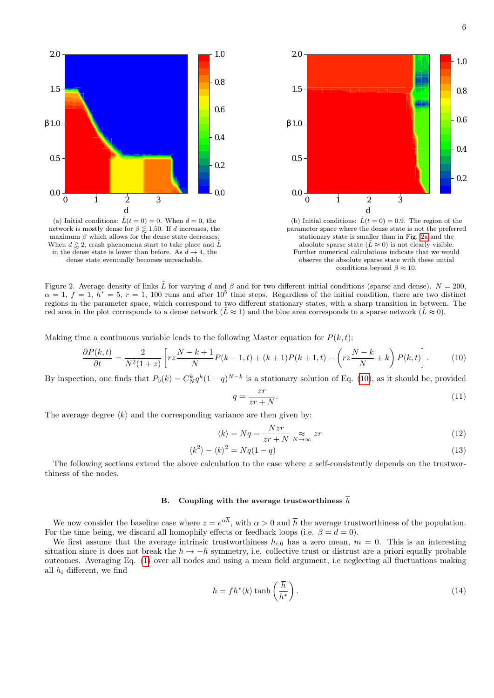<span id="page-5-1"></span>



<span id="page-5-2"></span>(b) Initial conditions:  $\tilde{L}(t=0) = 0.9$ . The region of the parameter space where the dense state is not the preferred stationary state is smaller than in Fig. [2a](#page-5-1) and the absolute sparse state  $(\tilde{L} \approx 0)$  is not clearly visible. Further numerical calculations indicate that we would observe the absolute sparse state with these initial conditions beyond  $\beta \approx 10$ .

(a) Initial conditions:  $\tilde{L}(t=0) = 0$ . When  $d = 0$ , the network is mostly dense for  $\beta \lessapprox 1.50$ . If d increases, the maximum  $\beta$  which allows for the dense state decreases. When  $d \gtrsim 2$ , crash phenomena start to take place and  $\tilde{L}$ in the dense state is lower than before. As  $d \rightarrow 4$ , the dense state eventually becomes unreachable.

<span id="page-5-0"></span>Figure 2. Average density of links  $\tilde{L}$  for varying d and  $\beta$  and for two different initial conditions (sparse and dense).  $N = 200$ ,  $\alpha = 1, f = 1, h^* = 5, r = 1, 100$  runs and after  $10^5$  time steps. Regardless of the initial condition, there are two distinct regions in the parameter space, which correspond to two different stationary states, with a sharp transition in between. The red area in the plot corresponds to a dense network ( $\tilde{L} \approx 1$ ) and the blue area corresponds to a sparse network ( $\tilde{L} \approx 0$ ).

Making time a continuous variable leads to the following Master equation for  $P(k, t)$ :

<span id="page-5-3"></span>
$$
\frac{\partial P(k,t)}{\partial t} = \frac{2}{N^2(1+z)} \left[ rz \frac{N-k+1}{N} P(k-1,t) + (k+1) P(k+1,t) - \left( rz \frac{N-k}{N} + k \right) P(k,t) \right].
$$
 (10)

By inspection, one finds that  $P_0(k) = C_N^k q^k (1-q)^{N-k}$  is a stationary solution of Eq. [\(10\)](#page-5-3), as it should be, provided

$$
q = \frac{zr}{zr + N}.\tag{11}
$$

The average degree  $\langle k \rangle$  and the corresponding variance are then given by:

<span id="page-5-5"></span>
$$
\langle k \rangle = Nq = \frac{Nzr}{zr + N} \underset{N \to \infty}{\approx} zr \tag{12}
$$

$$
\langle k^2 \rangle - \langle k \rangle^2 = Nq(1-q) \tag{13}
$$

The following sections extend the above calculation to the case where z self-consistently depends on the trustworthiness of the nodes.

# B. Coupling with the average trustworthiness  $\bar{h}$

We now consider the baseline case where  $z = e^{\alpha h}$ , with  $\alpha > 0$  and  $\bar{h}$  the average trustworthiness of the population. For the time being, we discard all homophily effects or feedback loops (i.e.  $\beta = d = 0$ ).

We first assume that the average intrinsic trustworthiness  $h_{i,0}$  has a zero mean,  $m = 0$ . This is an interesting situation since it does not break the  $h \to -h$  symmetry, i.e. collective trust or distrust are a priori equally probable outcomes. Averaging Eq. [\(1\)](#page-2-0) over all nodes and using a mean field argument, i.e neglecting all fluctuations making all  $h_i$  different, we find

<span id="page-5-4"></span>
$$
\overline{h} = fh^* \langle k \rangle \tanh\left(\frac{\overline{h}}{h^*}\right). \tag{14}
$$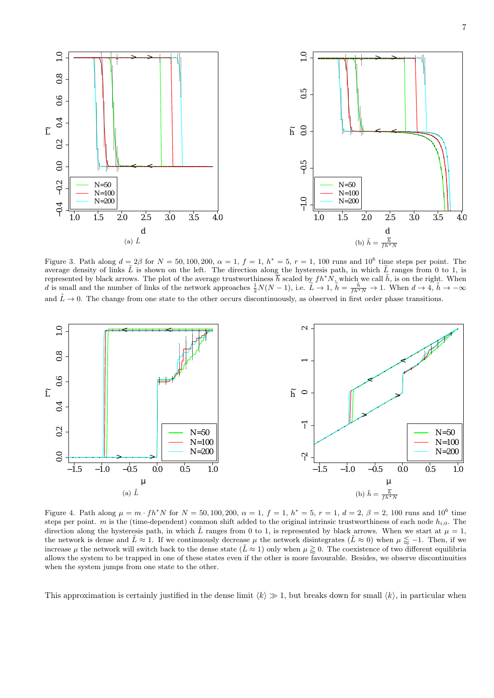<span id="page-6-0"></span>

<span id="page-6-1"></span>Figure 3. Path along  $d = 2\beta$  for  $N = 50, 100, 200, \alpha = 1, f = 1, h^* = 5, r = 1, 100$  runs and  $10^6$  time steps per point. The average density of links  $\tilde{L}$  is shown on the left. The direction along the hysteresis path, in which  $\tilde{L}$  ranges from 0 to 1, is represented by black arrows. The plot of the average trustworthiness  $\bar{h}$  scaled by  $fh^*\tilde{N}$ , which we call  $\tilde{h}$ , is on the right. When d is small and the number of links of the network approaches  $\frac{1}{2}N(N-1)$ , i.e.  $L^{\rightarrow}$  1,  $\tilde{h} = \frac{\bar{h}}{f h^* N} \rightarrow 1$ . When  $d \rightarrow 4$ ,  $\tilde{h} \rightarrow -\infty$ and  $\tilde{L} \to 0$ . The change from one state to the other occurs discontinuously, as observed in first order phase transitions.

<span id="page-6-2"></span>

<span id="page-6-3"></span>Figure 4. Path along  $\mu = m \cdot fh^*N$  for  $N = 50, 100, 200, \alpha = 1, f = 1, h^* = 5, r = 1, d = 2, \beta = 2, 100$  runs and  $10^6$  time steps per point. m is the (time-dependent) common shift added to the original intrinsic trustworthiness of each node  $h_{i,0}$ . The direction along the hysteresis path, in which  $\tilde{L}$  ranges from 0 to 1, is represented by black arrows. When we start at  $\mu = 1$ , the network is dense and  $\tilde{L} \approx 1$ . If we continuously decrease  $\mu$  the network disintegrates  $(\tilde{L} \approx 0)$  when  $\mu \leq -1$ . Then, if we increase  $\mu$  the network will switch back to the dense state  $(\tilde{L} \approx 1)$  only when  $\mu \gtrsim 0$ . The coexistence of two different equilibria allows the system to be trapped in one of these states even if the other is more favourable. Besides, we observe discontinuities when the system jumps from one state to the other.

This approximation is certainly justified in the dense limit  $\langle k \rangle \gg 1$ , but breaks down for small  $\langle k \rangle$ , in particular when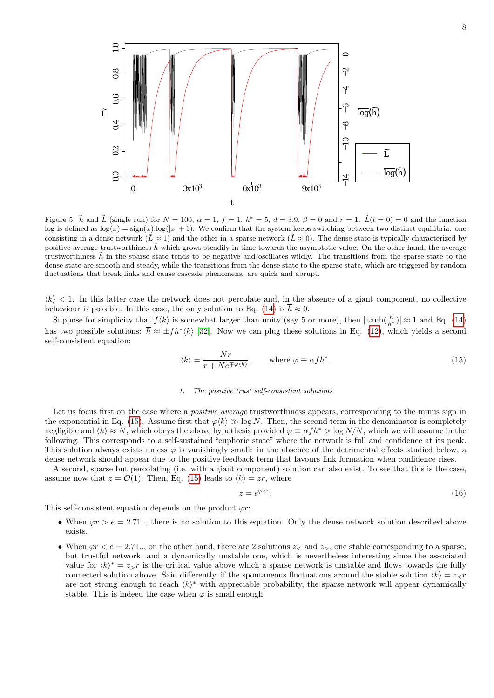

<span id="page-7-0"></span>Figure 5.  $\tilde{h}$  and  $\tilde{L}$  (single run) for  $N = 100$ ,  $\alpha = 1$ ,  $f = 1$ ,  $h^* = 5$ ,  $d = 3.9$ ,  $\beta = 0$  and  $r = 1$ .  $\tilde{L}(t = 0) = 0$  and the function  $\overline{\log}$  is defined as  $\overline{\log}(x) = \text{sign}(x) \cdot \overline{\log}(|x| + 1)$ . We confirm that the system keeps switching between two distinct equilibria: one consisting in a dense network  $(L \approx 1)$  and the other in a sparse network  $(L \approx 0)$ . The dense state is typically characterized by positive average trustworthiness  $\tilde{h}$  which grows steadily in time towards the asymptotic value. On the other hand, the average trustworthiness  $\tilde{h}$  in the sparse state tends to be negative and oscillates wildly. The transitions from the sparse state to the dense state are smooth and steady, while the transitions from the dense state to the sparse state, which are triggered by random fluctuations that break links and cause cascade phenomena, are quick and abrupt.

 $\langle k \rangle$  < 1. In this latter case the network does not percolate and, in the absence of a giant component, no collective behaviour is possible. In this case, the only solution to Eq. [\(14\)](#page-5-4) is  $h \approx 0$ .

Suppose for simplicity that  $f\langle k \rangle$  is somewhat larger than unity (say 5 or more), then  $|\tanh(\frac{h}{h^*})| \approx 1$  and Eq. [\(14\)](#page-5-4) has two possible solutions:  $\bar{h} \approx \pm f h^* \langle k \rangle$  [\[32\]](#page-14-13). Now we can plug these solutions in Eq. [\(12\)](#page-5-5), which yields a second self-consistent equation:

<span id="page-7-1"></span>
$$
\langle k \rangle = \frac{Nr}{r + Ne^{\mp \varphi \langle k \rangle}}, \quad \text{where } \varphi \equiv \alpha f h^*.
$$
 (15)

### 1. The positive trust self-consistent solutions

Let us focus first on the case where a *positive average* trustworthiness appears, corresponding to the minus sign in the exponential in Eq. [\(15\)](#page-7-1). Assume first that  $\varphi \langle k \rangle \gg \log N$ . Then, the second term in the denominator is completely negligible and  $\langle k \rangle \approx N$ , which obeys the above hypothesis provided  $\varphi \equiv \alpha f h^* > \log N/N$ , which we will assume in the following. This corresponds to a self-sustained "euphoric state" where the network is full and confidence at its peak. This solution always exists unless  $\varphi$  is vanishingly small: in the absence of the detrimental effects studied below, a dense network should appear due to the positive feedback term that favours link formation when confidence rises.

A second, sparse but percolating (i.e. with a giant component) solution can also exist. To see that this is the case, assume now that  $z = \mathcal{O}(1)$ . Then, Eq. [\(15\)](#page-7-1) leads to  $\langle k \rangle = zr$ , where

$$
z = e^{\varphi z r}.\tag{16}
$$

This self-consistent equation depends on the product  $\varphi r$ :

- When  $\varphi r > e = 2.71...$ , there is no solution to this equation. Only the dense network solution described above exists.
- When  $\varphi r < e = 2.71...$ , on the other hand, there are 2 solutions  $z<sub>z</sub>$  and  $z<sub>></sub>$ , one stable corresponding to a sparse, but trustful network, and a dynamically unstable one, which is nevertheless interesting since the associated value for  $\langle k \rangle^* = z_{\rangle} r$  is the critical value above which a sparse network is unstable and flows towards the fully connected solution above. Said differently, if the spontaneous fluctuations around the stable solution  $\langle k \rangle = z_{\leq r}$ are not strong enough to reach  $\langle k \rangle^*$  with appreciable probability, the sparse network will appear dynamically stable. This is indeed the case when  $\varphi$  is small enough.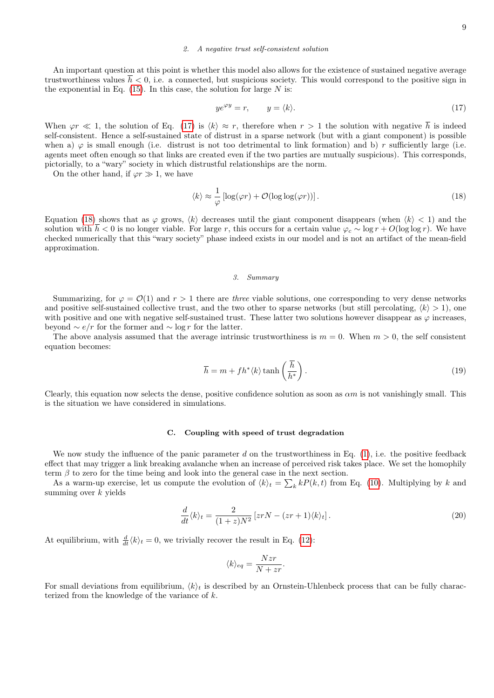# 2. A negative trust self-consistent solution

An important question at this point is whether this model also allows for the existence of sustained negative average trustworthiness values  $\bar{h} < 0$ , i.e. a connected, but suspicious society. This would correspond to the positive sign in the exponential in Eq.  $(15)$ . In this case, the solution for large N is:

<span id="page-8-0"></span>
$$
ye^{\varphi y} = r, \qquad y = \langle k \rangle. \tag{17}
$$

When  $\varphi r \ll 1$ , the solution of Eq. [\(17\)](#page-8-0) is  $\langle k \rangle \approx r$ , therefore when  $r > 1$  the solution with negative  $\bar{h}$  is indeed self-consistent. Hence a self-sustained state of distrust in a sparse network (but with a giant component) is possible when a)  $\varphi$  is small enough (i.e. distrust is not too detrimental to link formation) and b) r sufficiently large (i.e. agents meet often enough so that links are created even if the two parties are mutually suspicious). This corresponds, pictorially, to a "wary" society in which distrustful relationships are the norm.

On the other hand, if  $\varphi r \gg 1$ , we have

<span id="page-8-1"></span>
$$
\langle k \rangle \approx \frac{1}{\varphi} \left[ \log(\varphi r) + \mathcal{O}(\log \log(\varphi r)) \right]. \tag{18}
$$

Equation [\(18\)](#page-8-1) shows that as  $\varphi$  grows,  $\langle k \rangle$  decreases until the giant component disappears (when  $\langle k \rangle$  < 1) and the solution with  $\overline{h}$  < 0 is no longer viable. For large r, this occurs for a certain value  $\varphi_c \sim \log r + O(\log \log r)$ . We have checked numerically that this "wary society" phase indeed exists in our model and is not an artifact of the mean-field approximation.

## 3. Summary

Summarizing, for  $\varphi = \mathcal{O}(1)$  and  $r > 1$  there are three viable solutions, one corresponding to very dense networks and positive self-sustained collective trust, and the two other to sparse networks (but still percolating,  $\langle k \rangle > 1$ ), one with positive and one with negative self-sustained trust. These latter two solutions however disappear as  $\varphi$  increases, beyond  $\sim e/r$  for the former and  $\sim \log r$  for the latter.

The above analysis assumed that the average intrinsic trustworthiness is  $m = 0$ . When  $m > 0$ , the self consistent equation becomes:

$$
\overline{h} = m + fh^* \langle k \rangle \tanh\left(\frac{\overline{h}}{h^*}\right). \tag{19}
$$

Clearly, this equation now selects the dense, positive confidence solution as soon as  $\alpha m$  is not vanishingly small. This is the situation we have considered in simulations.

# C. Coupling with speed of trust degradation

We now study the influence of the panic parameter  $d$  on the trustworthiness in Eq. [\(1\)](#page-2-0), i.e. the positive feedback effect that may trigger a link breaking avalanche when an increase of perceived risk takes place. We set the homophily term  $\beta$  to zero for the time being and look into the general case in the next section.

As a warm-up exercise, let us compute the evolution of  $\langle k \rangle_t = \sum_k k P(k, t)$  from Eq. [\(10\)](#page-5-3). Multiplying by k and summing over  $k$  yields

$$
\frac{d}{dt}\langle k\rangle_t = \frac{2}{(1+z)N^2} \left[ zrN - (zr+1)\langle k\rangle_t \right].\tag{20}
$$

At equilibrium, with  $\frac{d}{dt} \langle k \rangle_t = 0$ , we trivially recover the result in Eq. [\(12\)](#page-5-5):

$$
\langle k \rangle_{eq} = \frac{Nzr}{N + zr}.
$$

For small deviations from equilibrium,  $\langle k \rangle_t$  is described by an Ornstein-Uhlenbeck process that can be fully characterized from the knowledge of the variance of  $k$ .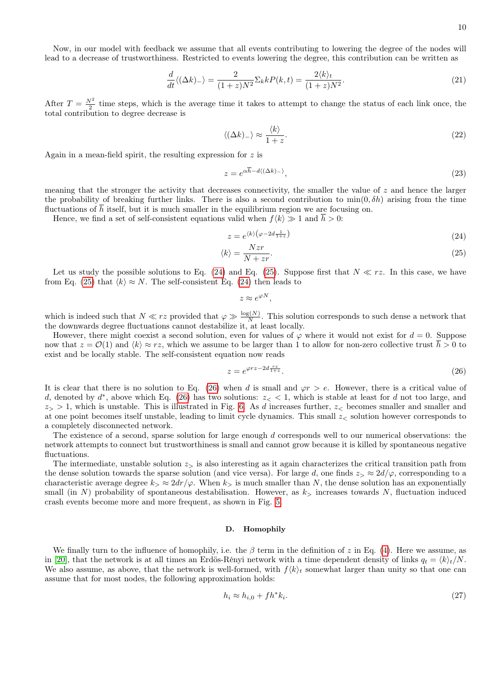Now, in our model with feedback we assume that all events contributing to lowering the degree of the nodes will lead to a decrease of trustworthiness. Restricted to events lowering the degree, this contribution can be written as

$$
\frac{d}{dt}\langle (\Delta k)_{-}\rangle = \frac{2}{(1+z)N^2} \Sigma_k k P(k,t) = \frac{2\langle k \rangle_t}{(1+z)N^2}.
$$
\n(21)

After  $T = \frac{N^2}{2}$  time steps, which is the average time it takes to attempt to change the status of each link once, the total contribution to degree decrease is

$$
\langle (\Delta k)_{-} \rangle \approx \frac{\langle k \rangle}{1+z}.\tag{22}
$$

Again in a mean-field spirit, the resulting expression for z is

$$
z = e^{\alpha h - d(\Delta k) - \lambda},\tag{23}
$$

meaning that the stronger the activity that decreases connectivity, the smaller the value of z and hence the larger the probability of breaking further links. There is also a second contribution to  $\min(0, \delta h)$  arising from the time fluctuations of  $\overline{h}$  itself, but it is much smaller in the equilibrium region we are focusing on.

Hence, we find a set of self-consistent equations valid when  $f\langle k \rangle \gg 1$  and  $\overline{h} > 0$ :

<span id="page-9-0"></span>
$$
z = e^{\langle k \rangle \left(\varphi - 2d\frac{1}{1+z}\right)}\tag{24}
$$

$$
\langle k \rangle = \frac{Nzr}{N + zr}.\tag{25}
$$

Let us study the possible solutions to Eq. [\(24\)](#page-9-0) and Eq. [\(25\)](#page-9-0). Suppose first that  $N \ll rz$ . In this case, we have from Eq. [\(25\)](#page-9-0) that  $\langle k \rangle \approx N$ . The self-consistent Eq. [\(24\)](#page-9-0) then leads to

$$
z \approx e^{\varphi N},
$$

which is indeed such that  $N \ll rz$  provided that  $\varphi \gg \frac{\log(N)}{N}$ . This solution corresponds to such dense a network that the downwards degree fluctuations cannot destabilize it, at least locally.

However, there might coexist a second solution, even for values of  $\varphi$  where it would not exist for  $d = 0$ . Suppose now that  $z = \mathcal{O}(1)$  and  $\langle k \rangle \approx rz$ , which we assume to be larger than 1 to allow for non-zero collective trust  $\overline{h} > 0$  to exist and be locally stable. The self-consistent equation now reads

<span id="page-9-1"></span>
$$
z = e^{\varphi rz - 2d\frac{rz}{1+z}}.\tag{26}
$$

It is clear that there is no solution to Eq. [\(26\)](#page-9-1) when d is small and  $\varphi r > e$ . However, there is a critical value of d, denoted by  $d^*$ , above which Eq. [\(26\)](#page-9-1) has two solutions:  $z<1$ , which is stable at least for d not too large, and  $z>1$ , which is unstable. This is illustrated in Fig. [6.](#page-10-0) As d increases further,  $z<$  becomes smaller and smaller and at one point becomes itself unstable, leading to limit cycle dynamics. This small  $z<$  solution however corresponds to a completely disconnected network.

The existence of a second, sparse solution for large enough d corresponds well to our numerical observations: the network attempts to connect but trustworthiness is small and cannot grow because it is killed by spontaneous negative fluctuations.

The intermediate, unstable solution  $z<sub>></sub>$  is also interesting as it again characterizes the critical transition path from the dense solution towards the sparse solution (and vice versa). For large d, one finds  $z_{\geq} \approx 2d/\varphi$ , corresponding to a characteristic average degree  $k > \infty$  2dr/ $\varphi$ . When  $k >$  is much smaller than N, the dense solution has an exponentially small (in N) probability of spontaneous destabilisation. However, as  $k<sub>></sub>$  increases towards N, fluctuation induced crash events become more and more frequent, as shown in Fig. [5.](#page-7-0)

# D. Homophily

We finally turn to the influence of homophily, i.e. the  $\beta$  term in the definition of z in Eq. [\(4\)](#page-3-0). Here we assume, as in [\[20\]](#page-14-2), that the network is at all times an Erdös-Rényi network with a time dependent density of links  $q_t = \langle k \rangle_t / N$ . We also assume, as above, that the network is well-formed, with  $f\langle k \rangle_t$  somewhat larger than unity so that one can assume that for most nodes, the following approximation holds:

$$
h_i \approx h_{i,0} + fh^* k_i. \tag{27}
$$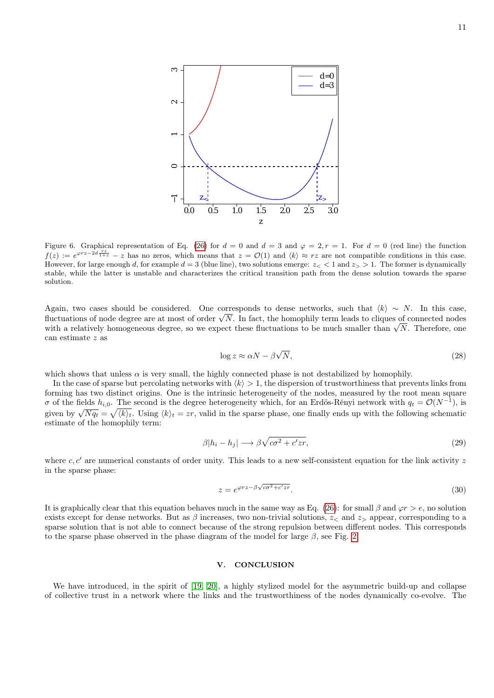

<span id="page-10-0"></span>Figure 6. Graphical representation of Eq. [\(26\)](#page-9-1) for  $d = 0$  and  $d = 3$  and  $\varphi = 2, r = 1$ . For  $d = 0$  (red line) the function  $f(z) := e^{\varphi rz-2d\frac{rz}{1+z}} - z$  has no zeros, which means that  $z = \mathcal{O}(1)$  and  $\langle k \rangle \approx rz$  are not compatible conditions in this case. However, for large enough d, for example  $d = 3$  (blue line), two solutions emerge:  $z < 1$  and  $z > 1$ . The former is dynamically stable, while the latter is unstable and characterizes the critical transition path from the dense solution towards the sparse solution.

Again, two cases should be considered. One corresponds to dense networks, such that  $\langle k \rangle \sim N$ . In this case, Again, two cases should be considered. One corresponds to dense networks, such that  $\langle \kappa \rangle \sim N$ . In this case, fluctuations of node degree are at most of order  $\sqrt{N}$ . In fact, the homophily term leads to cliques of con fluctuations of node degree are at most of order  $\sqrt{N}$ . In fact, the homophily term leads to cliques of connected nodes<br>with a relatively homogeneous degree, so we expect these fluctuations to be much smaller than  $\sqrt{N$ can estimate z as

$$
\log z \approx \alpha N - \beta \sqrt{N},\tag{28}
$$

which shows that unless  $\alpha$  is very small, the highly connected phase is not destabilized by homophily.

In the case of sparse but percolating networks with  $\langle k \rangle > 1$ , the dispersion of trustworthiness that prevents links from forming has two distinct origins. One is the intrinsic heterogeneity of the nodes, measured by the root mean square  $\sigma$  of the fields  $h_{i,0}$ . The second is the degree heterogeneity which, for an Erdös-Rényi network with  $q_t = \mathcal{O}(N^{-1})$ , is by or the helds  $h_{i,0}$ . The second is the degree heterogenery which, for an Erdos-Rehyl hetwork with  $q_t = C(N-t)$ , is<br>given by  $\sqrt{Nq_t} = \sqrt{\langle k \rangle_t}$ . Using  $\langle k \rangle_t = zr$ , valid in the sparse phase, one finally ends up with the estimate of the homophily term:

$$
\beta |h_i - h_j| \longrightarrow \beta \sqrt{c\sigma^2 + c'zr},\tag{29}
$$

where  $c, c'$  are numerical constants of order unity. This leads to a new self-consistent equation for the link activity z in the sparse phase:

$$
z = e^{\varphi rz - \beta \sqrt{c\sigma^2 + c'zr}}.\tag{30}
$$

It is graphically clear that this equation behaves much in the same way as Eq. [\(26\)](#page-9-1): for small  $\beta$  and  $\varphi r > e$ , no solution exists except for dense networks. But as  $\beta$  increases, two non-trivial solutions,  $z<$  and  $z<sub>></sub>$  appear, corresponding to a sparse solution that is not able to connect because of the strong repulsion between different nodes. This corresponds to the sparse phase observed in the phase diagram of the model for large  $\beta$ , see Fig. [2.](#page-5-0)

# V. CONCLUSION

We have introduced, in the spirit of [\[19,](#page-14-1) [20\]](#page-14-2), a highly stylized model for the asymmetric build-up and collapse of collective trust in a network where the links and the trustworthiness of the nodes dynamically co-evolve. The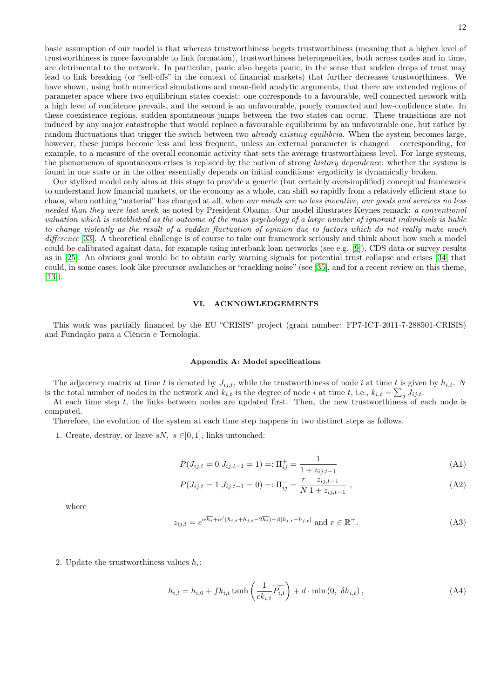basic assumption of our model is that whereas trustworthiness begets trustworthiness (meaning that a higher level of trustworthiness is more favourable to link formation), trustworthiness heterogeneities, both across nodes and in time, are detrimental to the network. In particular, panic also begets panic, in the sense that sudden drops of trust may lead to link breaking (or "sell-offs" in the context of financial markets) that further decreases trustworthiness. We have shown, using both numerical simulations and mean-field analytic arguments, that there are extended regions of parameter space where two equilibrium states coexist: one corresponds to a favourable, well connected network with a high level of confidence prevails, and the second is an unfavourable, poorly connected and low-confidence state. In these coexistence regions, sudden spontaneous jumps between the two states can occur. These transitions are not induced by any major catastrophe that would replace a favourable equilibrium by an unfavourable one, but rather by random fluctuations that trigger the switch between two *already existing equilibria*. When the system becomes large, however, these jumps become less and less frequent, unless an external parameter is changed – corresponding, for example, to a measure of the overall economic activity that sets the average trustworthiness level. For large systems, the phenomenon of spontaneous crises is replaced by the notion of strong history dependence: whether the system is found in one state or in the other essentially depends on initial conditions: ergodicity is dynamically broken.

Our stylized model only aims at this stage to provide a generic (but certainly oversimplified) conceptual framework to understand how financial markets, or the economy as a whole, can shift so rapidly from a relatively efficient state to chaos, when nothing "material" has changed at all, when our minds are no less inventive, our goods and services no less needed than they were last week, as noted by President Obama. Our model illustrates Keynes remark: a conventional valuation which is established as the outcome of the mass psychology of a large number of ignorant individuals is liable to change violently as the result of a sudden fluctuation of opinion due to factors which do not really make much difference [\[33\]](#page-14-14). A theoretical challenge is of course to take our framework seriously and think about how such a model could be calibrated against data, for example using interbank loan networks (see e.g. [\[9\]](#page-13-4)), CDS data or survey results as in [\[25\]](#page-14-9). An obvious goal would be to obtain early warning signals for potential trust collapse and crises [[34\]](#page-14-15) that could, in some cases, look like precursor avalanches or "crackling noise" (see [\[35\]](#page-14-16), and for a recent review on this theme, [\[13\]](#page-13-7)).

# VI. ACKNOWLEDGEMENTS

This work was partially financed by the EU "CRISIS" project (grant number: FP7-ICT-2011-7-288501-CRISIS) and Fundação para a Ciência e Tecnologia.

### <span id="page-11-0"></span>Appendix A: Model specifications

The adjacency matrix at time t is denoted by  $J_{ij,t}$ , while the trustworthiness of node i at time t is given by  $h_{i,t}$ . N is the total number of nodes in the network and  $k_{i,t}$  is the degree of node i at time t, i.e.,  $k_{i,t} = \sum_j J_{ij,t}$ .

At each time step  $t$ , the links between nodes are updated first. Then, the new trustworthiness of each node is computed.

Therefore, the evolution of the system at each time step happens in two distinct steps as follows.

1. Create, destroy, or leave  $sN$ ,  $s \in ]0,1]$ , links untouched:

$$
P(J_{ij,t} = 0 | J_{ij,t-1} = 1) =: \Pi_{ij}^{+} = \frac{1}{1 + z_{ij,t-1}}
$$
\n(A1)

<span id="page-11-1"></span>
$$
P(J_{ij,t} = 1 | J_{ij,t-1} = 0) =: \Pi_{ij}^- = \frac{r}{N} \frac{z_{ij,t-1}}{1 + z_{ij,t-1}} ,
$$
\n(A2)

where

$$
z_{ij,t} = e^{\alpha \overline{h_t} + \alpha'(h_{i,t} + h_{j,t} - 2\overline{h_t}) - \beta|h_{i,t} - h_{j,t}|} \text{ and } r \in \mathbb{R}^+.
$$
 (A3)

2. Update the trustworthiness values  $h_i$ :

<span id="page-11-2"></span>
$$
h_{i,t} = h_{i,0} + f k_{i,t} \tanh\left(\frac{1}{ck_{i,t}} \widetilde{P_{i,t}}\right) + d \cdot \min(0, \delta h_{i,t}),\tag{A4}
$$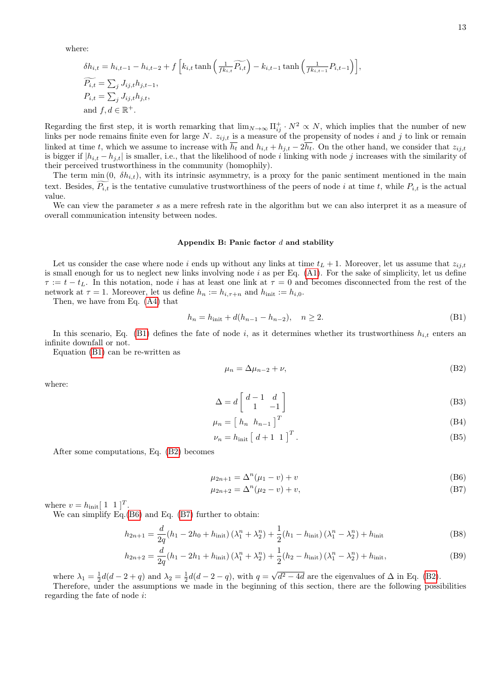where:

$$
\delta h_{i,t} = h_{i,t-1} - h_{i,t-2} + f\left[k_{i,t} \tanh\left(\frac{1}{fk_{i,t}}\widetilde{P_{i,t}}\right) - k_{i,t-1} \tanh\left(\frac{1}{fk_{i,t-1}}P_{i,t-1}\right)\right],
$$
  
\n
$$
\widetilde{P_{i,t}} = \sum_{j} J_{ij,t} h_{j,t-1},
$$
  
\n
$$
P_{i,t} = \sum_{j} J_{ij,t} h_{j,t},
$$
  
\n
$$
f, d \in \mathbb{R}^+.
$$

Regarding the first step, it is worth remarking that  $\lim_{N\to\infty} \Pi_{ij}^+ \cdot N^2 \propto N$ , which implies that the number of new links per node remains finite even for large N.  $z_{ij,t}$  is a measure of the propensity of nodes i and j to link or remain linked at time t, which we assume to increase with  $\overline{h_t}$  and  $h_{i,t} + h_{j,t} - 2\overline{h_t}$ . On the other hand, we consider that  $z_{ij,t}$ is bigger if  $|h_{i,t} - h_{j,t}|$  is smaller, i.e., that the likelihood of node i linking with node j increases with the similarity of their perceived trustworthiness in the community (homophily).

The term min  $(0, \delta h_{i,t})$ , with its intrinsic asymmetry, is a proxy for the panic sentiment mentioned in the main text. Besides,  $\widetilde{P_{i,t}}$  is the tentative cumulative trustworthiness of the peers of node i at time t, while  $P_{i,t}$  is the actual value.

We can view the parameter s as a mere refresh rate in the algorithm but we can also interpret it as a measure of overall communication intensity between nodes.

### <span id="page-12-0"></span>Appendix B: Panic factor  $d$  and stability

Let us consider the case where node i ends up without any links at time  $t_L + 1$ . Moreover, let us assume that  $z_{i,i,t}$ is small enough for us to neglect new links involving node i as per Eq. [\(A1\)](#page-11-1). For the sake of simplicity, let us define  $\tau := t - t_L$ . In this notation, node i has at least one link at  $\tau = 0$  and becomes disconnected from the rest of the network at  $\tau = 1$ . Moreover, let us define  $h_n := h_{i, \tau+n}$  and  $h_{\text{init}} := h_{i,0}$ .

Then, we have from Eq. [\(A4\)](#page-11-2) that

<span id="page-12-1"></span>
$$
h_n = h_{\text{init}} + d(h_{n-1} - h_{n-2}), \quad n \ge 2. \tag{B1}
$$

In this scenario, Eq. [\(B1\)](#page-12-1) defines the fate of node i, as it determines whether its trustworthiness  $h_{i,t}$  enters an infinite downfall or not.

Equation [\(B1\)](#page-12-1) can be re-written as

<span id="page-12-2"></span>
$$
\mu_n = \Delta \mu_{n-2} + \nu,\tag{B2}
$$

where:

$$
\Delta = d \begin{bmatrix} d-1 & d \\ 1 & -1 \end{bmatrix}
$$
 (B3)

$$
\mu_n = \left[ h_n \ h_{n-1} \right]^T \tag{B4}
$$

$$
\nu_n = h_{\text{init}} \left[ d + 1 \ 1 \right]^T. \tag{B5}
$$

After some computations, Eq. [\(B2\)](#page-12-2) becomes

$$
\mu_{2n+1} = \Delta^n (\mu_1 - v) + v \tag{B6}
$$

<span id="page-12-3"></span>
$$
\mu_{2n+2} = \Delta^n (\mu_2 - v) + v,\tag{B7}
$$

where  $v = h_{\text{init}}[1 \ 1 \ ]^T$ .

We can simplify Eq.[\(B6\)](#page-12-3) and Eq. [\(B7\)](#page-12-3) further to obtain:

$$
h_{2n+1} = \frac{d}{2q}(h_1 - 2h_0 + h_{\text{init}})\left(\lambda_1^n + \lambda_2^n\right) + \frac{1}{2}(h_1 - h_{\text{init}})\left(\lambda_1^n - \lambda_2^n\right) + h_{\text{init}}\tag{B8}
$$

$$
h_{2n+2} = \frac{d}{2q}(h_1 - 2h_1 + h_{\text{init}})\left(\lambda_1^n + \lambda_2^n\right) + \frac{1}{2}(h_2 - h_{\text{init}})\left(\lambda_1^n - \lambda_2^n\right) + h_{\text{init}},\tag{B9}
$$

where  $\lambda_1 = \frac{1}{2}d(d-2+q)$  and  $\lambda_2 = \frac{1}{2}d(d-2-q)$ , with  $q =$ √  $d^2 - 4d$  are the eigenvalues of  $\Delta$  in Eq. [\(B2\)](#page-12-2).

Therefore, under the assumptions we made in the beginning of this section, there are the following possibilities regarding the fate of node i: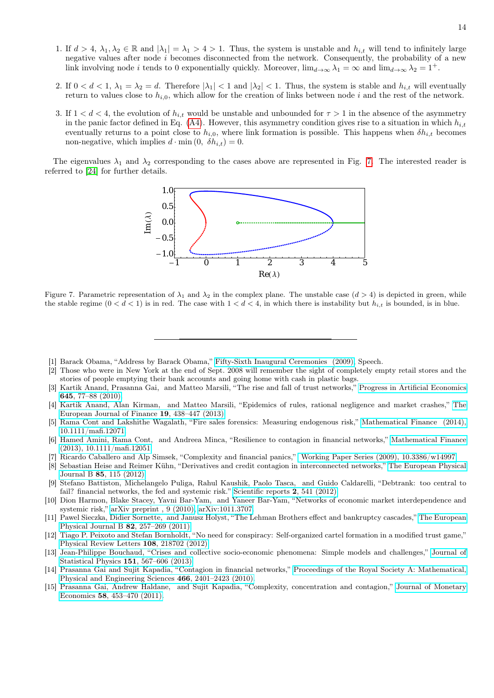- 1. If  $d > 4$ ,  $\lambda_1, \lambda_2 \in \mathbb{R}$  and  $|\lambda_1| = \lambda_1 > 4 > 1$ . Thus, the system is unstable and  $h_{i,t}$  will tend to infinitely large negative values after node i becomes disconnected from the network. Consequently, the probability of a new link involving node i tends to 0 exponentially quickly. Moreover,  $\lim_{d\to\infty}\lambda_1 = \infty$  and  $\lim_{d\to\infty}\lambda_2 = 1^+$ .
- 2. If  $0 < d < 1$ ,  $\lambda_1 = \lambda_2 = d$ . Therefore  $|\lambda_1| < 1$  and  $|\lambda_2| < 1$ . Thus, the system is stable and  $h_{i,t}$  will eventually return to values close to  $h_{i,0}$ , which allow for the creation of links between node i and the rest of the network.
- 3. If  $1 < d < 4$ , the evolution of  $h_{i,t}$  would be unstable and unbounded for  $\tau > 1$  in the absence of the asymmetry in the panic factor defined in Eq. [\(A4\)](#page-11-2). However, this asymmetry condition gives rise to a situation in which  $h_{i,t}$ eventually returns to a point close to  $h_{i,0}$ , where link formation is possible. This happens when  $\delta h_{i,t}$  becomes non-negative, which implies  $d \cdot \min(0, \delta h_{i,t}) = 0$ .

The eigenvalues  $\lambda_1$  and  $\lambda_2$  corresponding to the cases above are represented in Fig. [7.](#page-13-8) The interested reader is referred to [\[24\]](#page-14-8) for further details.



<span id="page-13-8"></span>Figure 7. Parametric representation of  $\lambda_1$  and  $\lambda_2$  in the complex plane. The unstable case  $(d > 4)$  is depicted in green, while the stable regime  $(0 < d < 1)$  is in red. The case with  $1 < d < 4$ , in which there is instability but  $h_{i,t}$  is bounded, is in blue.

- <span id="page-13-0"></span>[1] Barack Obama, "Address by Barack Obama," [Fifty-Sixth Inaugural Ceremonies \(2009\),](http://www.whitehouse.gov/blog/inaugural-address) Speech.
- <span id="page-13-1"></span>[2] Those who were in New York at the end of Sept. 2008 will remember the sight of completely empty retail stores and the stories of people emptying their bank accounts and going home with cash in plastic bags.
- <span id="page-13-2"></span>[3] Kartik Anand, Prasanna Gai, and Matteo Marsili, "The rise and fall of trust networks," [Progress in Artificial Economics](http://link.springer.com/chapter/10.1007/978-3-642-13947-5_7) 645[, 77–88 \(2010\).](http://link.springer.com/chapter/10.1007/978-3-642-13947-5_7)
- <span id="page-13-3"></span>[4] Kartik Anand, Alan Kirman, and Matteo Marsili, "Epidemics of rules, rational negligence and market crashes," [The](http://dx.doi.org/ 10.1080/1351847X.2011.601872) [European Journal of Finance](http://dx.doi.org/ 10.1080/1351847X.2011.601872) 19, 438–447 (2013).
- [5] Rama Cont and Lakshithe Wagalath, "Fire sales forensics: Measuring endogenous risk," [Mathematical Finance \(2014\),](http://dx.doi.org/10.1111/mafi.12071) [10.1111/mafi.12071.](http://dx.doi.org/10.1111/mafi.12071)
- [6] Hamed Amini, Rama Cont, and Andreea Minca, "Resilience to contagion in financial networks," [Mathematical Finance](http://dx.doi.org/10.1111/mafi.12051) [\(2013\), 10.1111/mafi.12051.](http://dx.doi.org/10.1111/mafi.12051)
- [7] Ricardo Caballero and Alp Simsek, "Complexity and financial panics," [Working Paper Series \(2009\), 10.3386/w14997.](http://dx.doi.org/10.3386/w14997)
- [8] Sebastian Heise and Reimer Kühn, "Derivatives and credit contagion in interconnected networks," [The European Physical](http://dx.doi.org/10.1140/epjb/e2012-20740-0) Journal B 85[, 115 \(2012\).](http://dx.doi.org/10.1140/epjb/e2012-20740-0)
- <span id="page-13-4"></span>[9] Stefano Battiston, Michelangelo Puliga, Rahul Kaushik, Paolo Tasca, and Guido Caldarelli, "Debtrank: too central to fail? financial networks, the fed and systemic risk." [Scientific reports](http://dx.doi.org/ 10.1038/srep00541) 2, 541 (2012).
- [10] Dion Harmon, Blake Stacey, Yavni Bar-Yam, and Yaneer Bar-Yam, "Networks of economic market interdependence and systemic risk," [arXiv preprint , 9 \(2010\), arXiv:1011.3707.](http://arxiv.org/abs/1011.3707)
- <span id="page-13-5"></span>[11] Pawel Sieczka, Didier Sornette, and Janusz Holyst, "The Lehman Brothers effect and bankruptcy cascades," [The European](http://dx.doi.org/ 10.1140/epjb/e2011-10757-2) [Physical Journal B](http://dx.doi.org/ 10.1140/epjb/e2011-10757-2) 82, 257–269 (2011).
- [12] Tiago P. Peixoto and Stefan Bornholdt, "No need for conspiracy: Self-organized cartel formation in a modified trust game," [Physical Review Letters](http://dx.doi.org/10.1103/PhysRevLett.108.218702) 108, 218702 (2012).
- <span id="page-13-7"></span>[13] Jean-Philippe Bouchaud, "Crises and collective socio-economic phenomena: Simple models and challenges," [Journal of](http://dx.doi.org/10.1007/s10955-012-0687-3) [Statistical Physics](http://dx.doi.org/10.1007/s10955-012-0687-3) 151, 567–606 (2013).
- <span id="page-13-6"></span>[14] Prasanna Gai and Sujit Kapadia, "Contagion in financial networks," [Proceedings of the Royal Society A: Mathematical,](http://dx.doi.org/10.1098/rspa.2009.0410) [Physical and Engineering Sciences](http://dx.doi.org/10.1098/rspa.2009.0410) 466, 2401–2423 (2010).
- [15] Prasanna Gai, Andrew Haldane, and Sujit Kapadia, "Complexity, concentration and contagion," [Journal of Monetary](http://dx.doi.org/ 10.1016/j.jmoneco.2011.05.005) Economics 58[, 453–470 \(2011\).](http://dx.doi.org/ 10.1016/j.jmoneco.2011.05.005)